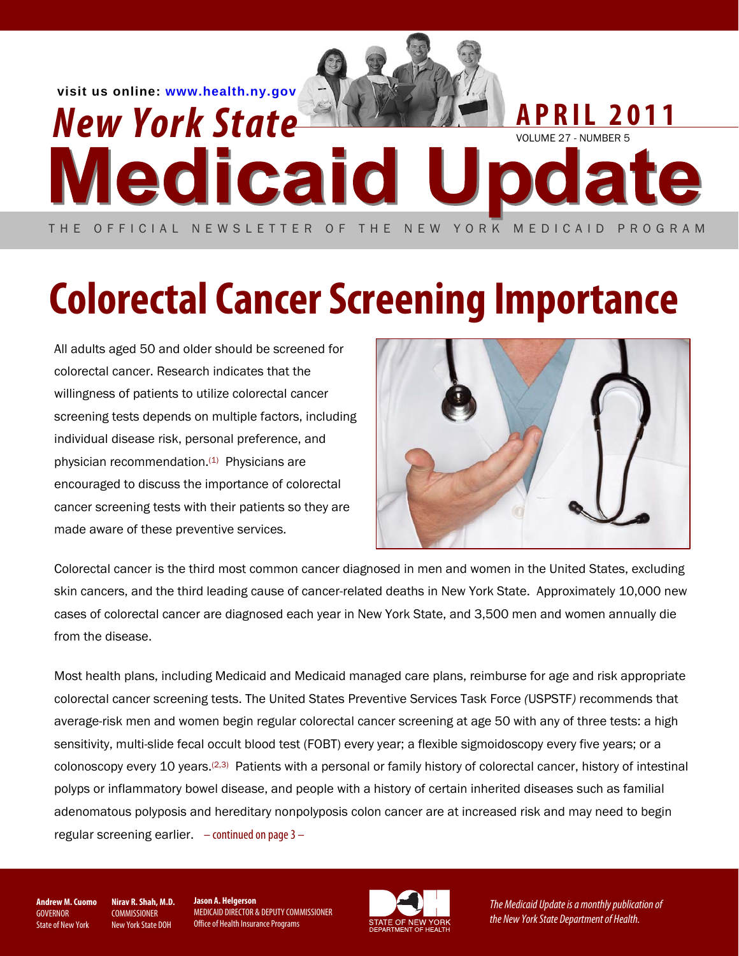

# **Colorectal Cancer Screening Importance**

All adults aged 50 and older should be screened for colorectal cancer. Research indicates that the willingness of patients to utilize colorectal cancer screening tests depends on multiple factors, including individual disease risk, personal preference, and physician recommendation.(1) Physicians are encouraged to discuss the importance of colorectal cancer screening tests with their patients so they are made aware of these preventive services.



Colorectal cancer is the third most common cancer diagnosed in men and women in the United States, excluding skin cancers, and the third leading cause of cancer-related deaths in New York State. Approximately 10,000 new cases of colorectal cancer are diagnosed each year in New York State, and 3,500 men and women annually die from the disease.

Most health plans, including Medicaid and Medicaid managed care plans, reimburse for age and risk appropriate colorectal cancer screening tests. The United States Preventive Services Task Force *(*USPSTF*)* recommends that average-risk men and women begin regular colorectal cancer screening at age 50 with any of three tests: a high sensitivity, multi-slide fecal occult blood test (FOBT) every year; a flexible sigmoidoscopy every five years; or a colonoscopy every 10 years.(2,3) Patients with a personal or family history of colorectal cancer, history of intestinal polyps or inflammatory bowel disease, and people with a history of certain inherited diseases such as familial adenomatous polyposis and hereditary nonpolyposis colon cancer are at increased risk and may need to begin regular screening earlier.  $-$  continued on page  $3-$ 

**Andrew M. Cuomo GOVERNOR** State of New York

**Nirav R. Shah, M.D. COMMISSIONER** New York State DOH

**Jason A. Helgerson** MEDICAID DIRECTOR & DEPUTY COMMISSIONER Office of Health Insurance Programs



The Medicaid Update is a monthly publication of the New York State Department of Health.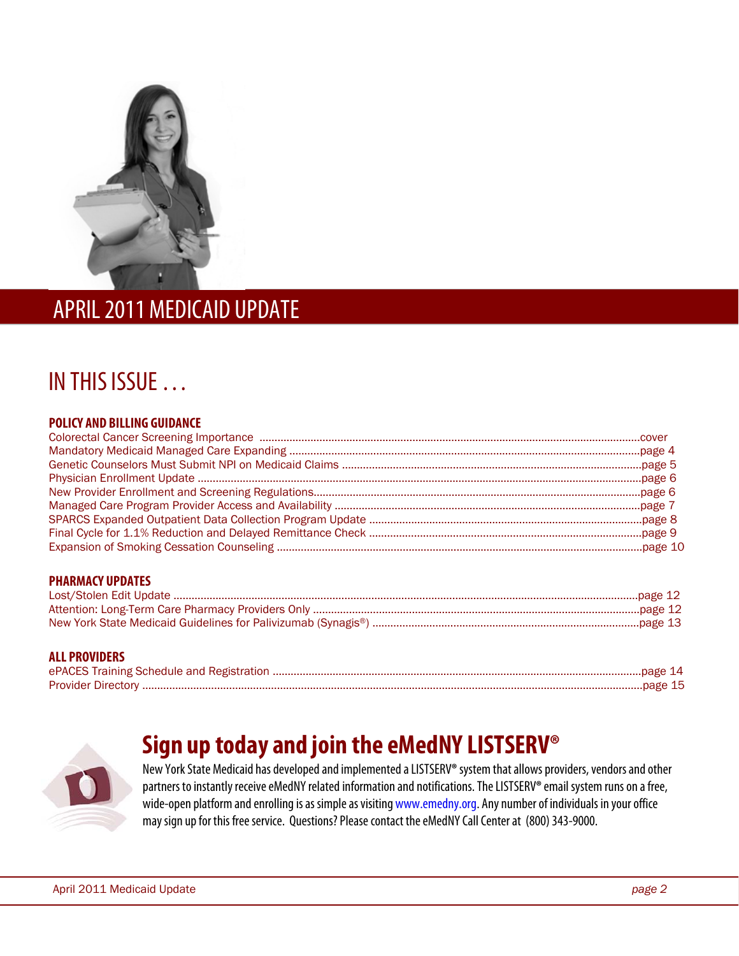

### APRIL 2011 MEDICAID UPDATE

l

### IN THIS ISSUE …

#### **POLICY AND BILLING GUIDANCE**

| <b>PHARMACY UPDATES</b> |  |
|-------------------------|--|
|                         |  |
|                         |  |
|                         |  |

#### **ALL PROVIDERS**

| ePACES Training Schedule and Registration. |  |
|--------------------------------------------|--|
| <b>Provider Directory</b>                  |  |

### **Sign up today and join the eMedNY LISTSERV®**

New York State Medicaid has developed and implemented a LISTSERV**®** system that allows providers, vendors and other partners to instantly receive eMedNY related information and notifications. The LISTSERV**®** email system runs on a free, wide-open platform and enrolling is as simple as visiting www.emedny.org. Any number of individuals in your office may sign up for this free service. Questions? Please contact the eMedNY Call Center at (800) 343-9000.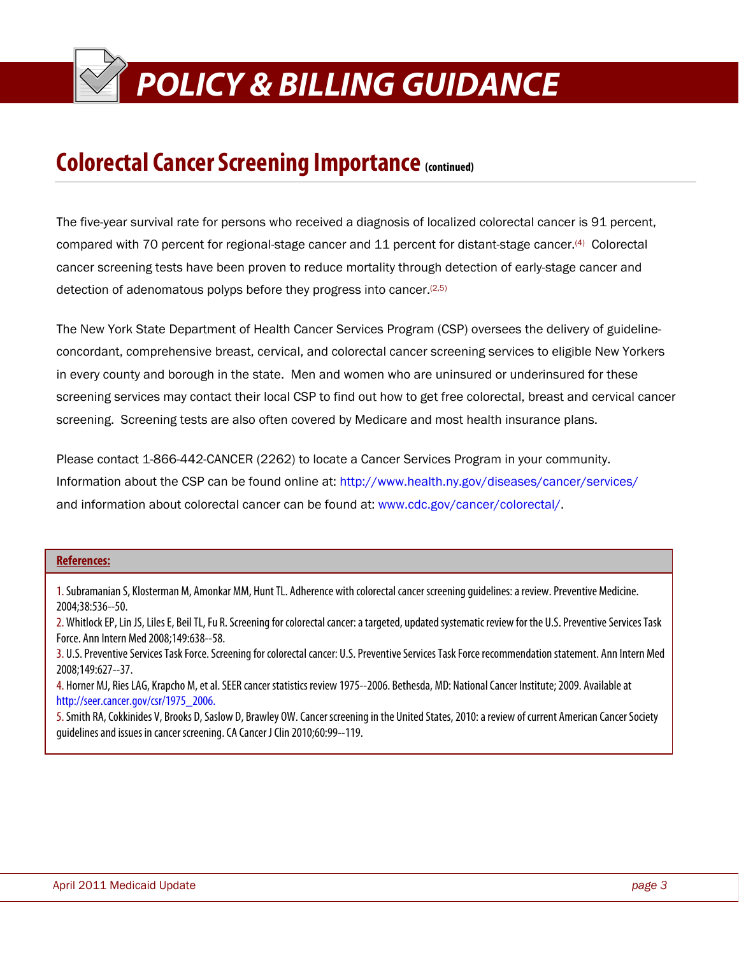### **POLICY & BILLING GUIDANCE POLICY & BILLING GUIDANCE**

### **Colorectal Cancer Screening Importance (continued)**

The five-year survival rate for persons who received a diagnosis of localized colorectal cancer is 91 percent, compared with 70 percent for regional-stage cancer and 11 percent for distant-stage cancer.(4) Colorectal cancer screening tests have been proven to reduce mortality through detection of early-stage cancer and detection of adenomatous polyps before they progress into cancer.(2,5)

The New York State Department of Health Cancer Services Program (CSP) oversees the delivery of guidelineconcordant, comprehensive breast, cervical, and colorectal cancer screening services to eligible New Yorkers in every county and borough in the state. Men and women who are uninsured or underinsured for these screening services may contact their local CSP to find out how to get free colorectal, breast and cervical cancer screening. Screening tests are also often covered by Medicare and most health insurance plans.

Please contact 1-866-442-CANCER (2262) to locate a Cancer Services Program in your community. Information about the CSP can be found online at: http://www.health.ny.gov/diseases/cancer/services/ and information about colorectal cancer can be found at: www.cdc.gov/cancer/colorectal/.

#### **References:**

ī

1. Subramanian S, Klosterman M, Amonkar MM, Hunt TL. Adherence with colorectal cancer screening guidelines: a review. Preventive Medicine. 2004;38:536--50.

2. Whitlock EP, Lin JS, Liles E, Beil TL, Fu R. Screening for colorectal cancer: a targeted, updated systematic review for the U.S. Preventive Services Task Force. Ann Intern Med 2008;149:638--58.

3. U.S. Preventive Services Task Force. Screening for colorectal cancer: U.S. Preventive Services Task Force recommendation statement. Ann Intern Med 2008;149:627--37.

4. Horner MJ, Ries LAG, Krapcho M, et al. SEER cancer statistics review 1975--2006. Bethesda, MD: National Cancer Institute; 2009. Available at http://seer.cancer.gov/csr/1975\_2006.

5. Smith RA, Cokkinides V, Brooks D, Saslow D, Brawley OW. Cancer screening in the United States, 2010: a review of current American Cancer Society guidelines and issues in cancer screening. CA Cancer J Clin 2010;60:99--119.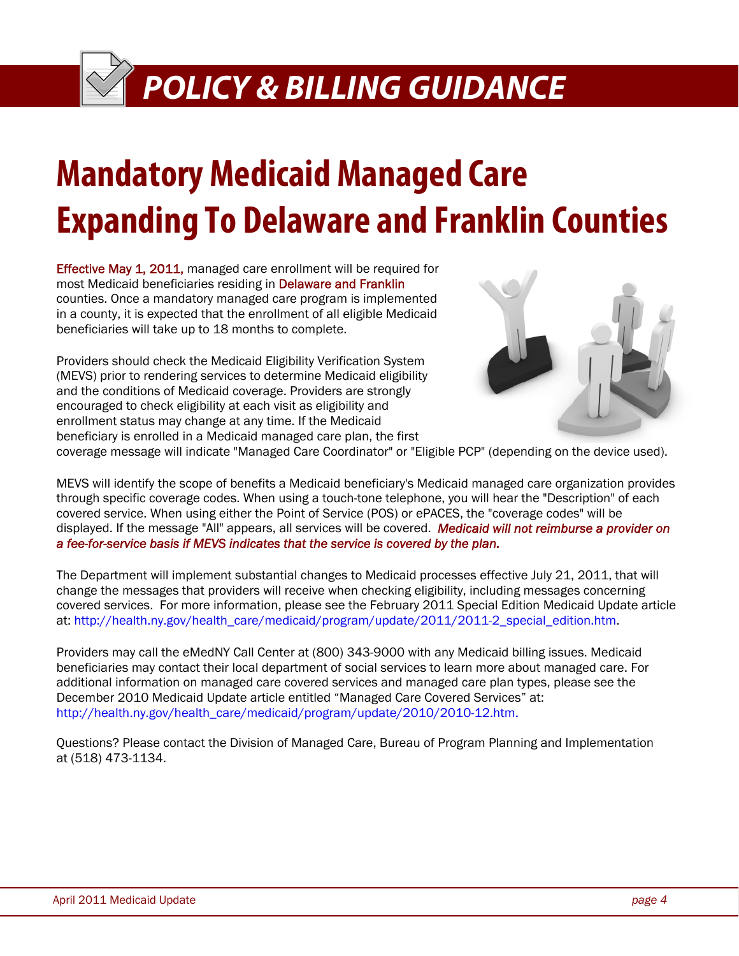## **Mandatory Medicaid Managed Care Expanding To Delaware and Franklin Counties**

Effective May 1, 2011, managed care enrollment will be required for most Medicaid beneficiaries residing in Delaware and Franklin counties. Once a mandatory managed care program is implemented in a county, it is expected that the enrollment of all eligible Medicaid beneficiaries will take up to 18 months to complete.

Providers should check the Medicaid Eligibility Verification System (MEVS) prior to rendering services to determine Medicaid eligibility and the conditions of Medicaid coverage. Providers are strongly encouraged to check eligibility at each visit as eligibility and enrollment status may change at any time. If the Medicaid beneficiary is enrolled in a Medicaid managed care plan, the first



coverage message will indicate "Managed Care Coordinator" or "Eligible PCP" (depending on the device used).

MEVS will identify the scope of benefits a Medicaid beneficiary's Medicaid managed care organization provides through specific coverage codes. When using a touch-tone telephone, you will hear the "Description" of each covered service. When using either the Point of Service (POS) or ePACES, the "coverage codes" will be displayed. If the message "All" appears, all services will be covered. *Medicaid will not reimburse a provider on a fee-for-service basis if MEVS indicates that the service is covered by the plan.*

The Department will implement substantial changes to Medicaid processes effective July 21, 2011, that will change the messages that providers will receive when checking eligibility, including messages concerning covered services. For more information, please see the February 2011 Special Edition Medicaid Update article at: http://health.ny.gov/health\_care/medicaid/program/update/2011/2011-2\_special\_edition.htm

Providers may call the eMedNY Call Center at (800) 343-9000 with any Medicaid billing issues. Medicaid beneficiaries may contact their local department of social services to learn more about managed care. For additional information on managed care covered services and managed care plan types, please see the December 2010 Medicaid Update article entitled "Managed Care Covered Services" at: http://health.ny.gov/health\_care/medicaid/program/update/2010/2010-12.htm.

Questions? Please contact the Division of Managed Care, Bureau of Program Planning and Implementation at (518) 473-1134.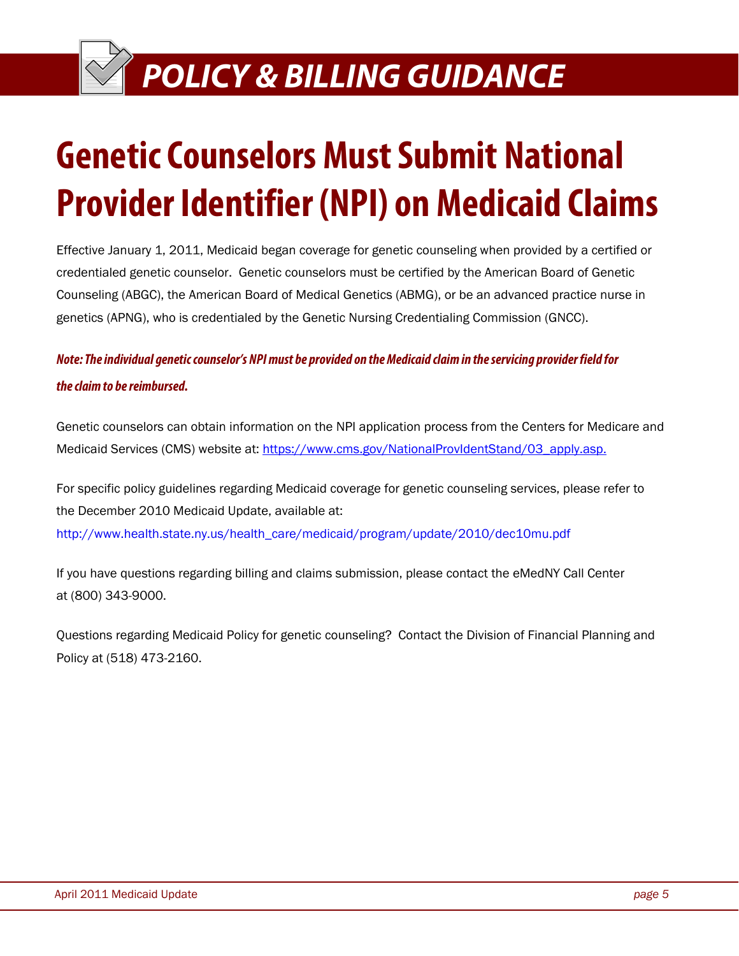## **Genetic Counselors Must Submit National Provider Identifier (NPI) on Medicaid Claims**

Effective January 1, 2011, Medicaid began coverage for genetic counseling when provided by a certified or credentialed genetic counselor. Genetic counselors must be certified by the American Board of Genetic Counseling (ABGC), the American Board of Medical Genetics (ABMG), or be an advanced practice nurse in genetics (APNG), who is credentialed by the Genetic Nursing Credentialing Commission (GNCC).

### **Note: The individual genetic counselor's NPI must be provided on the Medicaid claim in the servicing provider field for the claim to be reimbursed.**

Genetic counselors can obtain information on the NPI application process from the Centers for Medicare and Medicaid Services (CMS) website at: https://www.cms.gov/NationalProvIdentStand/03\_apply.asp.

For specific policy guidelines regarding Medicaid coverage for genetic counseling services, please refer to the December 2010 Medicaid Update, available at: http://www.health.state.ny.us/health\_care/medicaid/program/update/2010/dec10mu.pdf

If you have questions regarding billing and claims submission, please contact the eMedNY Call Center at (800) 343-9000.

Questions regarding Medicaid Policy for genetic counseling? Contact the Division of Financial Planning and Policy at (518) 473-2160.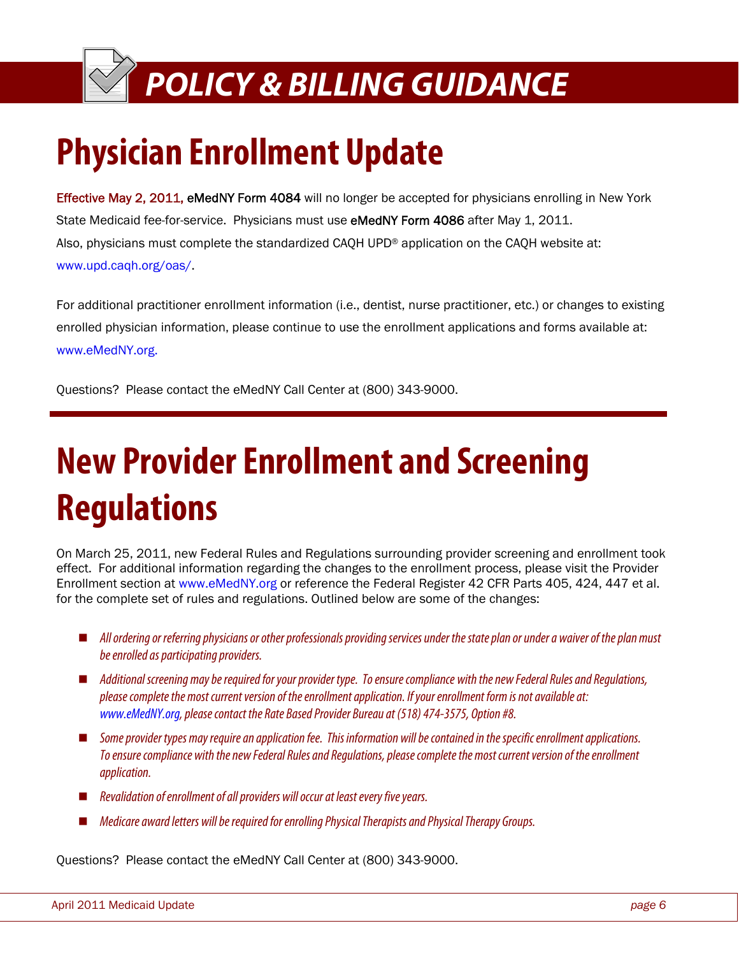## **Physician Enrollment Update**

Effective May 2, 2011, eMedNY Form 4084 will no longer be accepted for physicians enrolling in New York State Medicaid fee-for-service. Physicians must use eMedNY Form 4086 after May 1, 2011. Also, physicians must complete the standardized CAQH UPD® application on the CAQH website at: www.upd.caqh.org/oas/.

For additional practitioner enrollment information (i.e., dentist, nurse practitioner, etc.) or changes to existing enrolled physician information, please continue to use the enrollment applications and forms available at: www.eMedNY.org.

Questions? Please contact the eMedNY Call Center at (800) 343-9000.

## **New Provider Enrollment and Screening Regulations**

On March 25, 2011, new Federal Rules and Regulations surrounding provider screening and enrollment took effect. For additional information regarding the changes to the enrollment process, please visit the Provider Enrollment section at www.eMedNY.org or reference the Federal Register 42 CFR Parts 405, 424, 447 et al. for the complete set of rules and regulations. Outlined below are some of the changes:

- All ordering or referring physicians or other professionals providing services under the state plan or under a waiver of the plan must be enrolled as participating providers.
- Additional screening may be required for your provider type. To ensure compliance with the new Federal Rules and Regulations, please complete the most current version of the enrollment application. If your enrollment form is not available at: www.eMedNY.org, please contact the Rate Based Provider Bureau at (518) 474-3575, Option #8.
- Some provider types may require an application fee. This information will be contained in the specific enrollment applications. To ensure compliance with the new Federal Rules and Regulations, please complete the most current version of the enrollment application.
- Revalidation of enrollment of all providers will occur at least every five years.
- Medicare award letters will be required for enrolling Physical Therapists and Physical Therapy Groups.

Questions? Please contact the eMedNY Call Center at (800) 343-9000.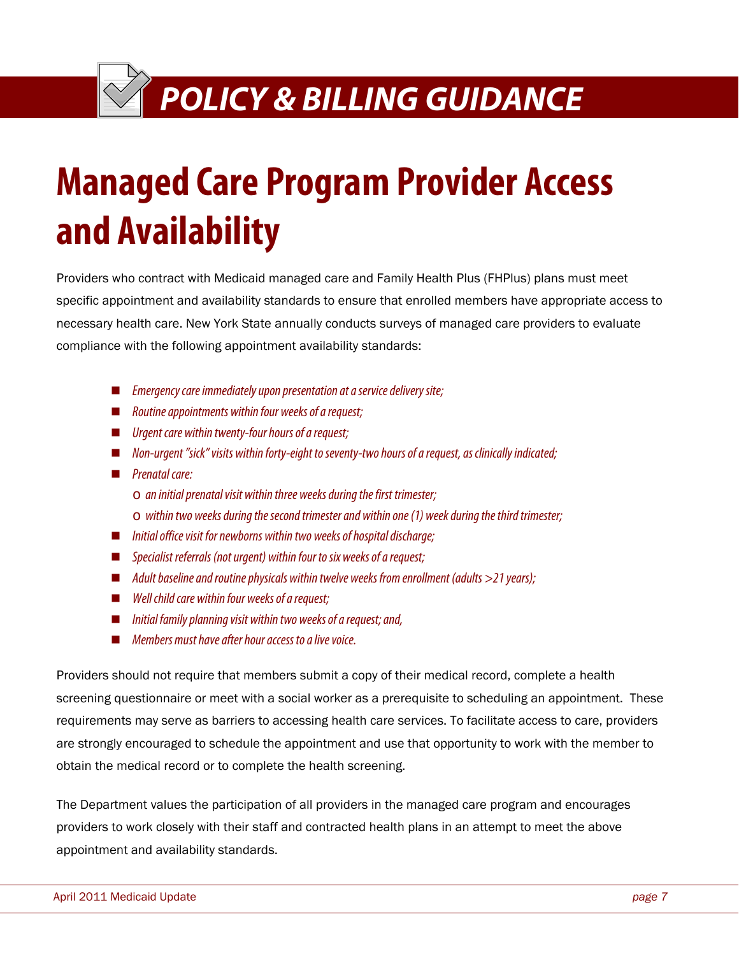### **EXTREMICY & BILLING GUIDANCE**

# **Managed Care Program Provider Access and Availability**

Providers who contract with Medicaid managed care and Family Health Plus (FHPlus) plans must meet specific appointment and availability standards to ensure that enrolled members have appropriate access to necessary health care. New York State annually conducts surveys of managed care providers to evaluate compliance with the following appointment availability standards:

- $\blacksquare$  Emergency care immediately upon presentation at a service delivery site;
- $\blacksquare$  Routine appointments within four weeks of a request;
- $\blacksquare$  Urgent care within twenty-four hours of a request;
- $\blacksquare$  Non-urgent "sick" visits within forty-eight to seventy-two hours of a request, as clinically indicated;
- **Prenatal care:** 
	- $\circ$  an initial prenatal visit within three weeks during the first trimester;
	- $\circ$  within two weeks during the second trimester and within one (1) week during the third trimester;
- $\blacksquare$  Initial office visit for newborns within two weeks of hospital discharge;
- Specialist referrals (not urgent) within four to six weeks of a request;
- $\blacksquare$  Adult baseline and routine physicals within twelve weeks from enrollment (adults  $>$ 21 years);
- $\blacksquare$  Well child care within four weeks of a request;
- $\blacksquare$  Initial family planning visit within two weeks of a request; and,
- **Members must have after hour access to a live voice**

Providers should not require that members submit a copy of their medical record, complete a health screening questionnaire or meet with a social worker as a prerequisite to scheduling an appointment. These requirements may serve as barriers to accessing health care services. To facilitate access to care, providers are strongly encouraged to schedule the appointment and use that opportunity to work with the member to obtain the medical record or to complete the health screening.

The Department values the participation of all providers in the managed care program and encourages providers to work closely with their staff and contracted health plans in an attempt to meet the above appointment and availability standards.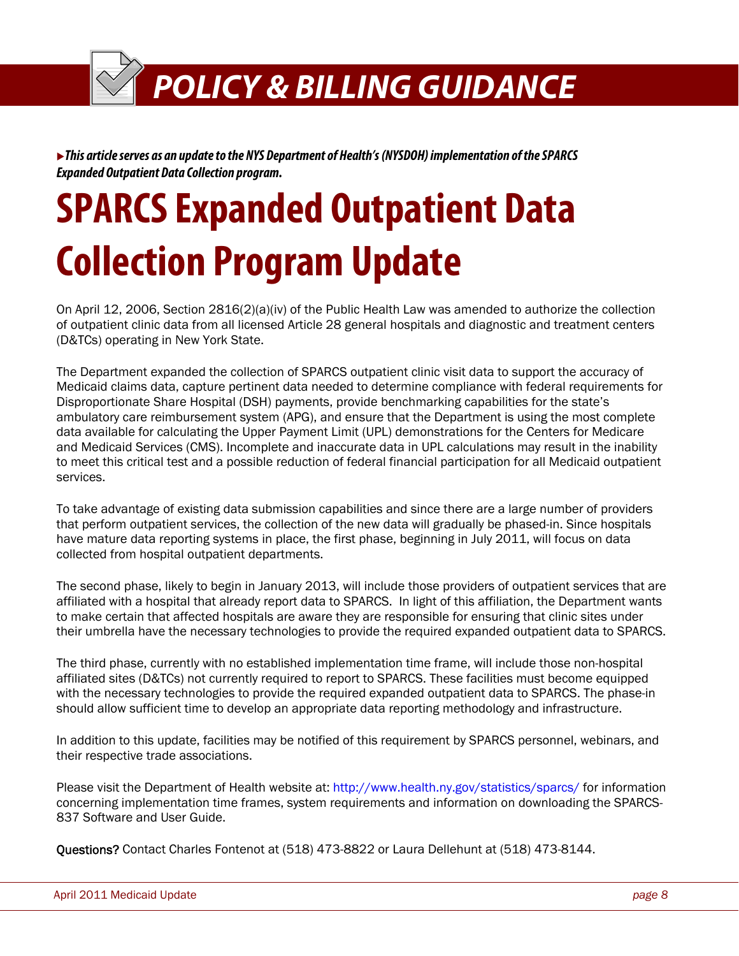<sup>X</sup>**This article serves as an update to the NYS Department of Health's (NYSDOH) implementation of the SPARCS Expanded Outpatient Data Collection program.** 

# **SPARCS Expanded Outpatient Data Collection Program Update**

On April 12, 2006, Section 2816(2)(a)(iv) of the Public Health Law was amended to authorize the collection of outpatient clinic data from all licensed Article 28 general hospitals and diagnostic and treatment centers (D&TCs) operating in New York State.

The Department expanded the collection of SPARCS outpatient clinic visit data to support the accuracy of Medicaid claims data, capture pertinent data needed to determine compliance with federal requirements for Disproportionate Share Hospital (DSH) payments, provide benchmarking capabilities for the state's ambulatory care reimbursement system (APG), and ensure that the Department is using the most complete data available for calculating the Upper Payment Limit (UPL) demonstrations for the Centers for Medicare and Medicaid Services (CMS). Incomplete and inaccurate data in UPL calculations may result in the inability to meet this critical test and a possible reduction of federal financial participation for all Medicaid outpatient services.

To take advantage of existing data submission capabilities and since there are a large number of providers that perform outpatient services, the collection of the new data will gradually be phased-in. Since hospitals have mature data reporting systems in place, the first phase, beginning in July 2011, will focus on data collected from hospital outpatient departments.

The second phase, likely to begin in January 2013, will include those providers of outpatient services that are affiliated with a hospital that already report data to SPARCS. In light of this affiliation, the Department wants to make certain that affected hospitals are aware they are responsible for ensuring that clinic sites under their umbrella have the necessary technologies to provide the required expanded outpatient data to SPARCS.

The third phase, currently with no established implementation time frame, will include those non-hospital affiliated sites (D&TCs) not currently required to report to SPARCS. These facilities must become equipped with the necessary technologies to provide the required expanded outpatient data to SPARCS. The phase-in should allow sufficient time to develop an appropriate data reporting methodology and infrastructure.

In addition to this update, facilities may be notified of this requirement by SPARCS personnel, webinars, and their respective trade associations.

Please visit the Department of Health website at: http://www.health.ny.gov/statistics/sparcs/ for information concerning implementation time frames, system requirements and information on downloading the SPARCS-837 Software and User Guide.

Questions? Contact Charles Fontenot at (518) 473-8822 or Laura Dellehunt at (518) 473-8144.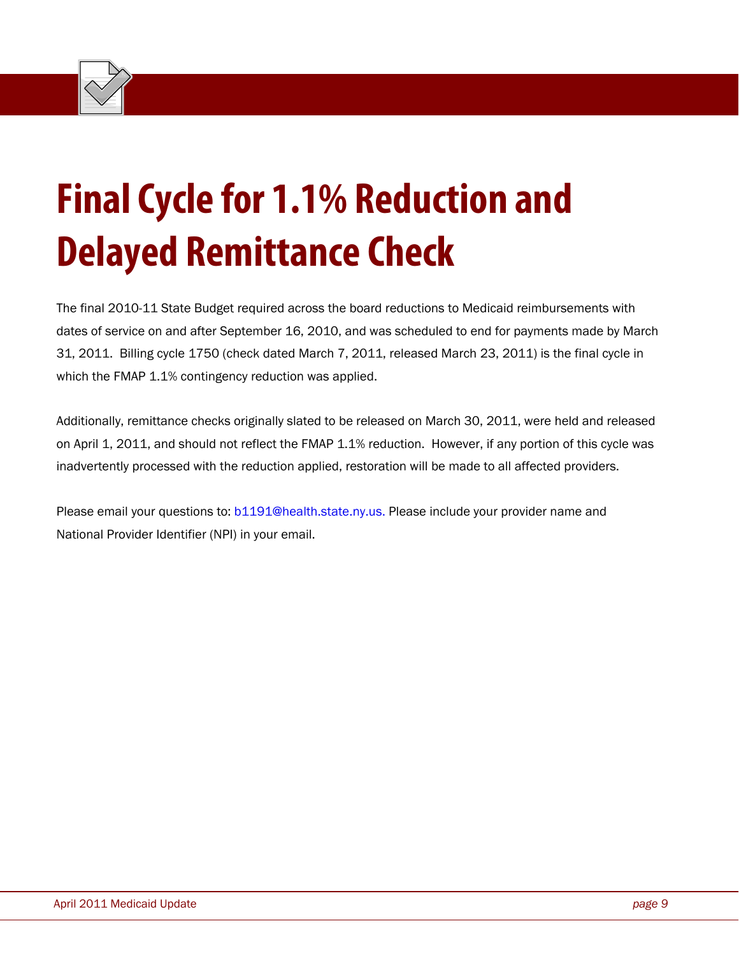

# **Final Cycle for 1.1% Reduction and Delayed Remittance Check**

The final 2010-11 State Budget required across the board reductions to Medicaid reimbursements with dates of service on and after September 16, 2010, and was scheduled to end for payments made by March 31, 2011. Billing cycle 1750 (check dated March 7, 2011, released March 23, 2011) is the final cycle in which the FMAP 1.1% contingency reduction was applied.

Additionally, remittance checks originally slated to be released on March 30, 2011, were held and released on April 1, 2011, and should not reflect the FMAP 1.1% reduction. However, if any portion of this cycle was inadvertently processed with the reduction applied, restoration will be made to all affected providers.

Please email your questions to: b1191@health.state.ny.us. Please include your provider name and National Provider Identifier (NPI) in your email.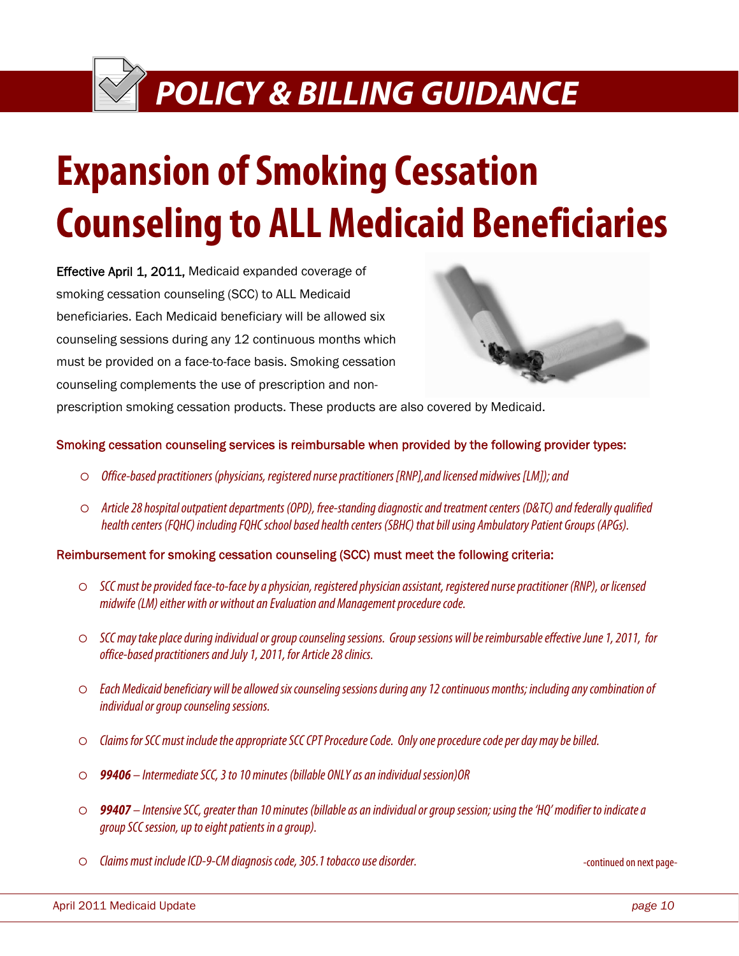# **Expansion of Smoking Cessation Counseling to ALL Medicaid Beneficiaries**

Effective April 1, 2011, Medicaid expanded coverage of smoking cessation counseling (SCC) to ALL Medicaid beneficiaries. Each Medicaid beneficiary will be allowed six counseling sessions during any 12 continuous months which must be provided on a face-to-face basis. Smoking cessation counseling complements the use of prescription and non-



prescription smoking cessation products. These products are also covered by Medicaid.

#### Smoking cessation counseling services is reimbursable when provided by the following provider types:

- $\circ$  Office-based practitioners (physicians, registered nurse practitioners [RNP], and licensed midwives [LM]); and
- $\circ$  Article 28 hospital outpatient departments (OPD), free-standing diagnostic and treatment centers (D&TC) and federally qualified health centers (FQHC) including FQHC school based health centers (SBHC) that bill using Ambulatory Patient Groups (APGs).

Reimbursement for smoking cessation counseling (SCC) must meet the following criteria:

- $\circ$  SCC must be provided face-to-face by a physician, registered physician assistant, registered nurse practitioner (RNP), or licensed midwife (LM) either with or without an Evaluation and Management procedure code.
- $\circ$  SCC may take place during individual or group counseling sessions. Group sessions will be reimbursable effective June 1, 2011, for office-based practitioners and July 1, 2011, for Article 28 clinics.
- $\circ$  Each Medicaid beneficiary will be allowed six counseling sessions during any 12 continuous months; including any combination of individual or group counseling sessions.
- $\circ$  Claims for SCC must include the appropriate SCC CPT Procedure Code. Only one procedure code per day may be billed.
- { **99406** Intermediate SCC, 3 to 10 minutes (billable ONLY as an individual session)OR
- { **99407** Intensive SCC, greater than 10 minutes (billable as an individual or group session; using the 'HQ' modifier to indicate a group SCC session, up to eight patients in a group).
- { Claims must include ICD-9-CM diagnosis code, 305.1 tobacco use disorder.

-continued on next page-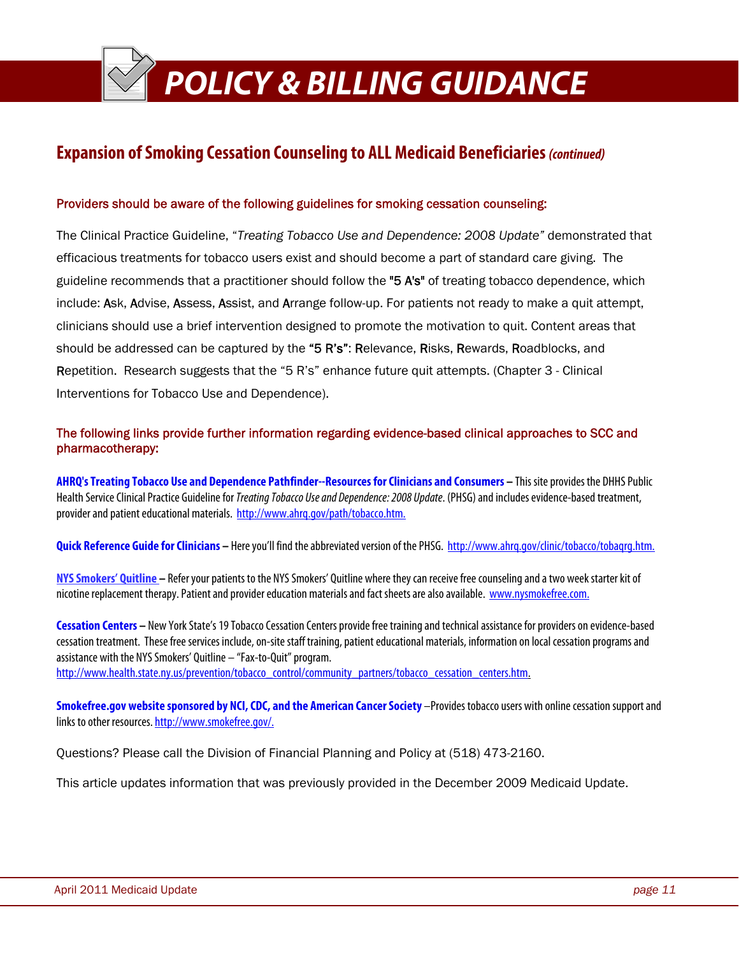### **Expansion of Smoking Cessation Counseling to ALL Medicaid Beneficiaries (continued)**

#### Providers should be aware of the following guidelines for smoking cessation counseling:

The Clinical Practice Guideline, "*Treating Tobacco Use and Dependence: 2008 Update"* demonstrated that efficacious treatments for tobacco users exist and should become a part of standard care giving. The guideline recommends that a practitioner should follow the "5 A's" of treating tobacco dependence, which include: Ask, Advise, Assess, Assist, and Arrange follow-up. For patients not ready to make a quit attempt, clinicians should use a brief intervention designed to promote the motivation to quit. Content areas that should be addressed can be captured by the "5 R's": Relevance, Risks, Rewards, Roadblocks, and Repetition. Research suggests that the "5 R's" enhance future quit attempts. (Chapter 3 - Clinical Interventions for Tobacco Use and Dependence).

### The following links provide further information regarding evidence-based clinical approaches to SCC and pharmacotherapy:

**AHRQ's Treating Tobacco Use and Dependence Pathfinder--Resources for Clinicians and Consumers –** This site provides the DHHS Public Health Service Clinical Practice Guideline for *Treating Tobacco Use and Dependence: 2008 Update*. (PHSG) and includes evidence-based treatment, provider and patient educational materials. http://www.ahrq.gov/path/tobacco.htm.

**Quick Reference Guide for Clinicians –** Here you'll find the abbreviated version of the PHSG. http://www.ahrq.gov/clinic/tobacco/tobaqrg.htm.

**NYS Smokers' Quitline –** Refer your patients to the NYS Smokers' Quitline where they can receive free counseling and a two week starter kit of nicotine replacement therapy. Patient and provider education materials and fact sheets are also available. www.nysmokefree.com.

**Cessation Centers –** New York State's 19 Tobacco Cessation Centers provide free training and technical assistance for providers on evidence-based cessation treatment. These free services include, on-site staff training, patient educational materials, information on local cessation programs and assistance with the NYS Smokers' Quitline – "Fax-to-Quit" program.

http://www.health.state.ny.us/prevention/tobacco\_control/community\_partners/tobacco\_cessation\_centers.htm.

**Smokefree.gov website sponsored by NCI, CDC, and the American Cancer Society** –Provides tobacco users with online cessation support and links to other resources. http://www.smokefree.gov/.

Questions? Please call the Division of Financial Planning and Policy at (518) 473-2160.

This article updates information that was previously provided in the December 2009 Medicaid Update.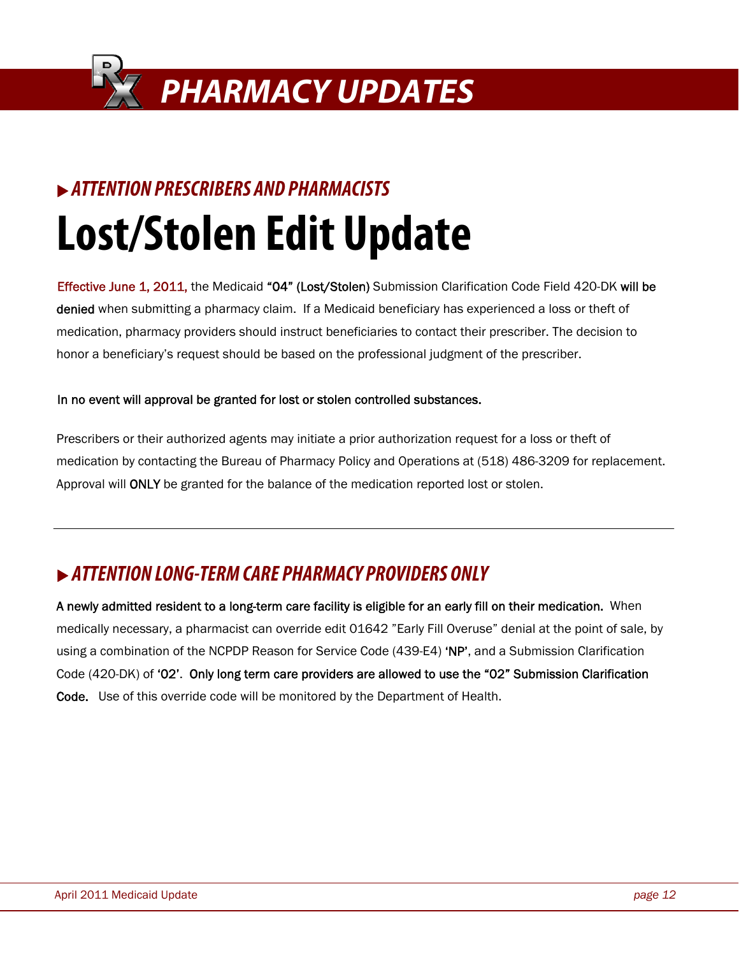

### **EXAMPLE ATTENTION PRESCRIBERS AND PHARMACISTS**

# **Lost/Stolen Edit Update**

Effective June 1, 2011, the Medicaid "04" (Lost/Stolen) Submission Clarification Code Field 420-DK will be denied when submitting a pharmacy claim. If a Medicaid beneficiary has experienced a loss or theft of medication, pharmacy providers should instruct beneficiaries to contact their prescriber. The decision to honor a beneficiary's request should be based on the professional judgment of the prescriber.

### In no event will approval be granted for lost or stolen controlled substances.

Prescribers or their authorized agents may initiate a prior authorization request for a loss or theft of medication by contacting the Bureau of Pharmacy Policy and Operations at (518) 486-3209 for replacement. Approval will ONLY be granted for the balance of the medication reported lost or stolen.

### <sup>X</sup> **ATTENTION LONG-TERM CARE PHARMACY PROVIDERS ONLY**

A newly admitted resident to a long-term care facility is eligible for an early fill on their medication. When medically necessary, a pharmacist can override edit 01642 "Early Fill Overuse" denial at the point of sale, by using a combination of the NCPDP Reason for Service Code (439-E4) 'NP', and a Submission Clarification Code (420-DK) of '02'. Only long term care providers are allowed to use the "02" Submission Clarification Code. Use of this override code will be monitored by the Department of Health.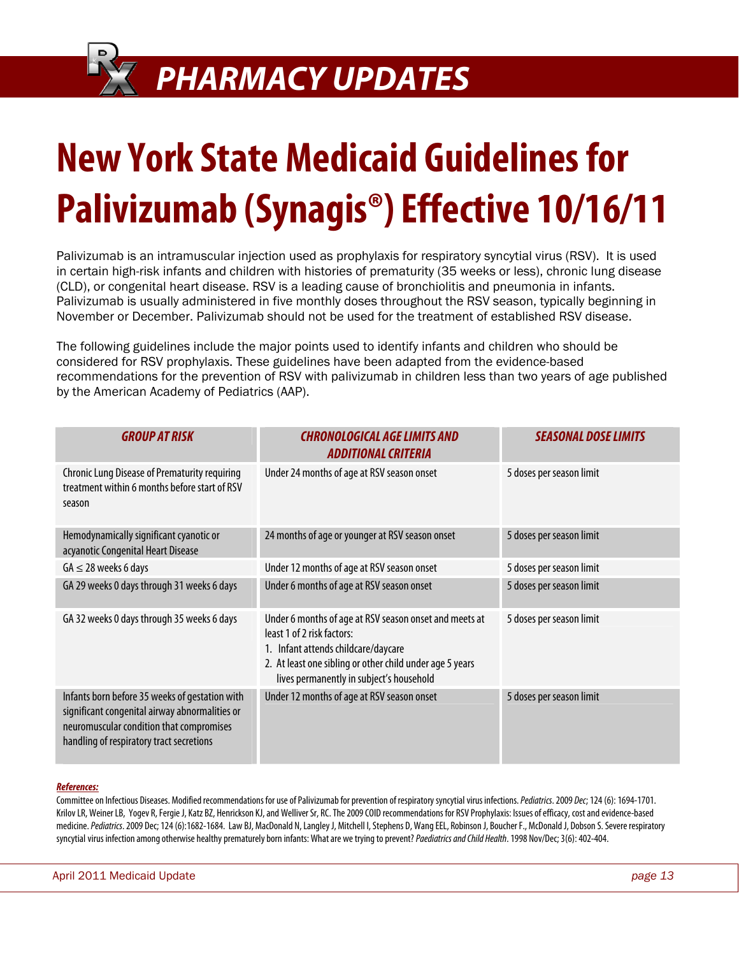### **PHARMACY UPDATES**

# **New York State Medicaid Guidelines for Palivizumab (Synagis®) Effective 10/16/11**

Palivizumab is an intramuscular injection used as prophylaxis for respiratory syncytial virus (RSV). It is used in certain high-risk infants and children with histories of prematurity (35 weeks or less), chronic lung disease (CLD), or congenital heart disease. RSV is a leading cause of bronchiolitis and pneumonia in infants. Palivizumab is usually administered in five monthly doses throughout the RSV season, typically beginning in November or December. Palivizumab should not be used for the treatment of established RSV disease.

The following guidelines include the major points used to identify infants and children who should be considered for RSV prophylaxis. These guidelines have been adapted from the evidence-based recommendations for the prevention of RSV with palivizumab in children less than two years of age published by the American Academy of Pediatrics (AAP).

| <b>GROUP AT RISK</b>                                                                                                                                                                     | <b>CHRONOLOGICAL AGE LIMITS AND</b><br><b>ADDITIONAL CRITERIA</b>                                                                                                                                                                   | <b>SEASONAL DOSE LIMITS</b> |
|------------------------------------------------------------------------------------------------------------------------------------------------------------------------------------------|-------------------------------------------------------------------------------------------------------------------------------------------------------------------------------------------------------------------------------------|-----------------------------|
| <b>Chronic Lung Disease of Prematurity requiring</b><br>treatment within 6 months before start of RSV<br>season                                                                          | Under 24 months of age at RSV season onset                                                                                                                                                                                          | 5 doses per season limit    |
| Hemodynamically significant cyanotic or<br>acyanotic Congenital Heart Disease                                                                                                            | 24 months of age or younger at RSV season onset                                                                                                                                                                                     | 5 doses per season limit    |
| $GA \leq 28$ weeks 6 days                                                                                                                                                                | Under 12 months of age at RSV season onset                                                                                                                                                                                          | 5 doses per season limit    |
| GA 29 weeks 0 days through 31 weeks 6 days                                                                                                                                               | Under 6 months of age at RSV season onset                                                                                                                                                                                           | 5 doses per season limit    |
| GA 32 weeks 0 days through 35 weeks 6 days                                                                                                                                               | Under 6 months of age at RSV season onset and meets at<br>least 1 of 2 risk factors:<br>1. Infant attends childcare/daycare<br>2. At least one sibling or other child under age 5 years<br>lives permanently in subject's household | 5 doses per season limit    |
| Infants born before 35 weeks of gestation with<br>significant congenital airway abnormalities or<br>neuromuscular condition that compromises<br>handling of respiratory tract secretions | Under 12 months of age at RSV season onset                                                                                                                                                                                          | 5 doses per season limit    |

#### **References:**

Committee on Infectious Diseases. Modified recommendations for use of Palivizumab for prevention of respiratory syncytial virus infections. Pediatrics. 2009 Dec; 124 (6): 1694-1701. Krilov LR, Weiner LB, Yogev R, Fergie J, Katz BZ, Henrickson KJ, and Welliver Sr, RC. The 2009 COID recommendations for RSV Prophylaxis: Issues of efficacy, cost and evidence-based medicine. Pediatrics. 2009 Dec: 124 (6):1682-1684. Law BJ, MacDonald N. Langley J. Mitchell I. Stephens D. Wang EEL, Robinson J. Boucher F., McDonald J. Dobson S. Severe respiratory syncytial virus infection among otherwise healthy prematurely born infants: What are we trying to prevent? Paediatrics and Child Health. 1998 Nov/Dec; 3(6): 402-404.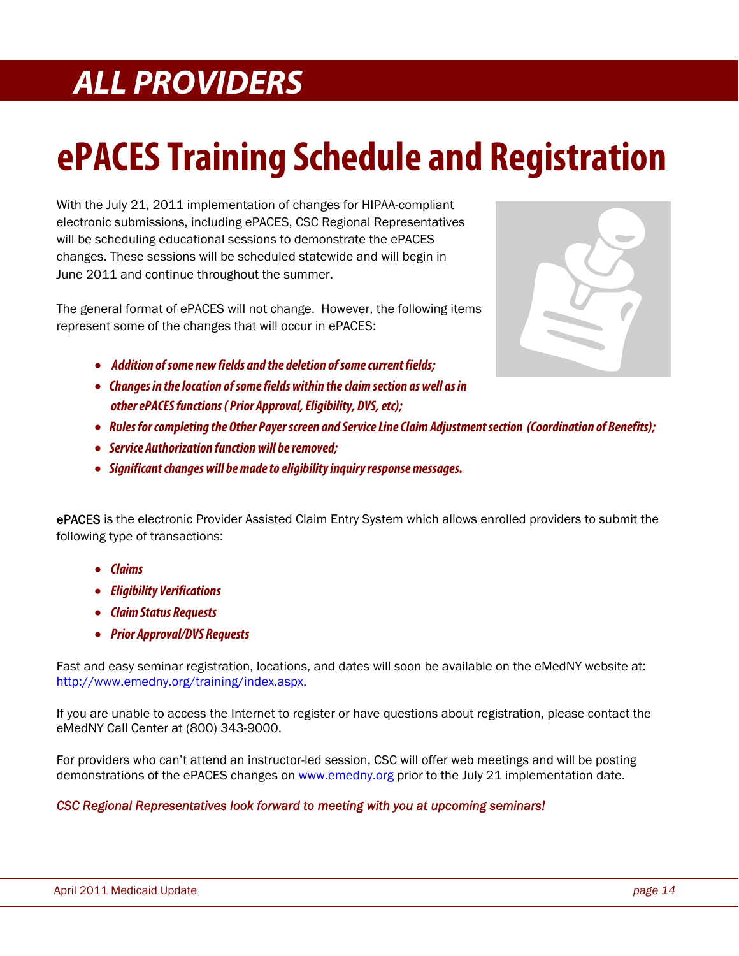### **ALL PROVIDERS**

## **ePACES Training Schedule and Registration**

With the July 21, 2011 implementation of changes for HIPAA-compliant electronic submissions, including ePACES, CSC Regional Representatives will be scheduling educational sessions to demonstrate the ePACES changes. These sessions will be scheduled statewide and will begin in June 2011 and continue throughout the summer.

The general format of ePACES will not change. However, the following items represent some of the changes that will occur in ePACES:



- **Addition of some new fields and the deletion of some current fields;**
- • **Changes in the location of some fields within the claim section as well as in other ePACES functions ( Prior Approval, Eligibility, DVS, etc);**
- • **Rules for completing the Other Payer screen and Service Line Claim Adjustment section (Coordination of Benefits);**
- • **Service Authorization function will be removed;**
- • **Significant changes will be made to eligibility inquiry response messages.**

ePACES is the electronic Provider Assisted Claim Entry System which allows enrolled providers to submit the following type of transactions:

- **Claims**
- **Eligibility Verifications**
- **Claim Status Requests**
- **Prior Approval/DVS Requests**

Fast and easy seminar registration, locations, and dates will soon be available on the eMedNY website at: http://www.emedny.org/training/index.aspx.

If you are unable to access the Internet to register or have questions about registration, please contact the eMedNY Call Center at (800) 343-9000.

For providers who can't attend an instructor-led session, CSC will offer web meetings and will be posting demonstrations of the ePACES changes on www.emedny.org prior to the July 21 implementation date.

### *CSC Regional Representatives look forward to meeting with you at upcoming seminars!*